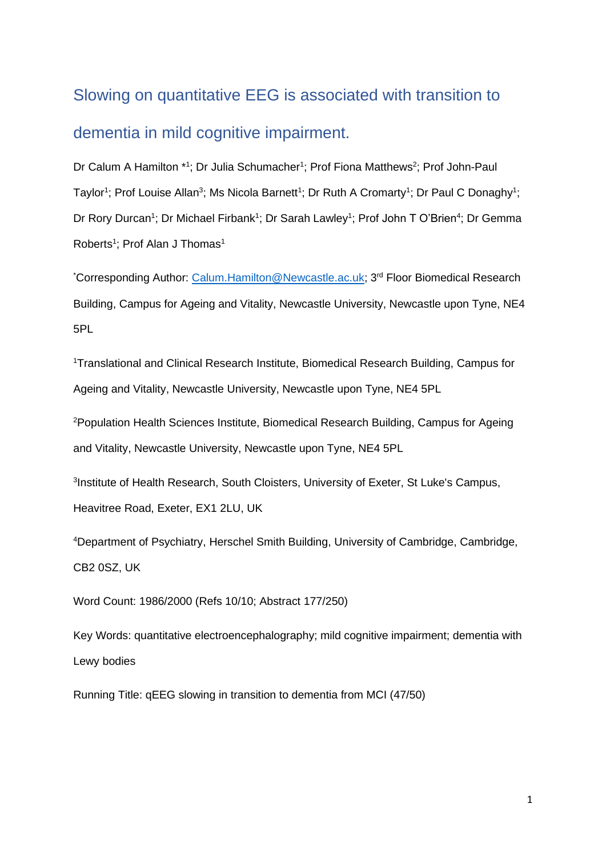# Slowing on quantitative EEG is associated with transition to dementia in mild cognitive impairment.

Dr Calum A Hamilton \*1; Dr Julia Schumacher<sup>1</sup>; Prof Fiona Matthews<sup>2</sup>; Prof John-Paul Taylor<sup>1</sup>; Prof Louise Allan<sup>3</sup>; Ms Nicola Barnett<sup>1</sup>; Dr Ruth A Cromarty<sup>1</sup>; Dr Paul C Donaghy<sup>1</sup>; Dr Rory Durcan<sup>1</sup>; Dr Michael Firbank<sup>1</sup>; Dr Sarah Lawley<sup>1</sup>; Prof John T O'Brien<sup>4</sup>; Dr Gemma Roberts<sup>1</sup>; Prof Alan J Thomas<sup>1</sup>

\*Corresponding Author: [Calum.Hamilton@Newcastle.ac.uk;](mailto:Calum.Hamilton@Newcastle.ac.uk) 3rd Floor Biomedical Research Building, Campus for Ageing and Vitality, Newcastle University, Newcastle upon Tyne, NE4 5PL

<sup>1</sup>Translational and Clinical Research Institute, Biomedical Research Building, Campus for Ageing and Vitality, Newcastle University, Newcastle upon Tyne, NE4 5PL

<sup>2</sup>Population Health Sciences Institute, Biomedical Research Building, Campus for Ageing and Vitality, Newcastle University, Newcastle upon Tyne, NE4 5PL

<sup>3</sup>Institute of Health Research, South Cloisters, University of Exeter, St Luke's Campus, Heavitree Road, Exeter, EX1 2LU, UK

<sup>4</sup>Department of Psychiatry, Herschel Smith Building, University of Cambridge, Cambridge, CB2 0SZ, UK

Word Count: 1986/2000 (Refs 10/10; Abstract 177/250)

Key Words: quantitative electroencephalography; mild cognitive impairment; dementia with Lewy bodies

Running Title: qEEG slowing in transition to dementia from MCI (47/50)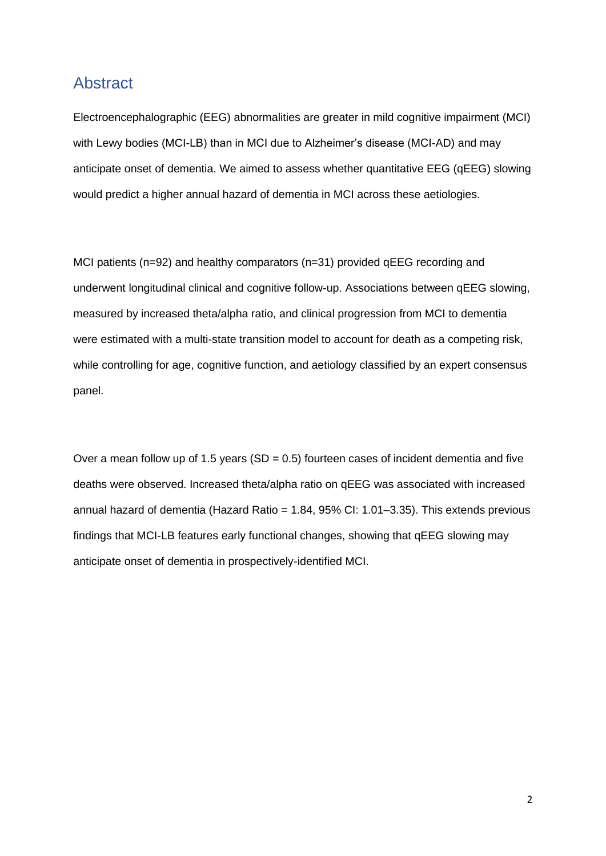## Abstract

Electroencephalographic (EEG) abnormalities are greater in mild cognitive impairment (MCI) with Lewy bodies (MCI-LB) than in MCI due to Alzheimer's disease (MCI-AD) and may anticipate onset of dementia. We aimed to assess whether quantitative EEG (qEEG) slowing would predict a higher annual hazard of dementia in MCI across these aetiologies.

MCI patients (n=92) and healthy comparators (n=31) provided qEEG recording and underwent longitudinal clinical and cognitive follow-up. Associations between qEEG slowing, measured by increased theta/alpha ratio, and clinical progression from MCI to dementia were estimated with a multi-state transition model to account for death as a competing risk, while controlling for age, cognitive function, and aetiology classified by an expert consensus panel.

Over a mean follow up of 1.5 years ( $SD = 0.5$ ) fourteen cases of incident dementia and five deaths were observed. Increased theta/alpha ratio on qEEG was associated with increased annual hazard of dementia (Hazard Ratio = 1.84, 95% CI: 1.01–3.35). This extends previous findings that MCI-LB features early functional changes, showing that qEEG slowing may anticipate onset of dementia in prospectively-identified MCI.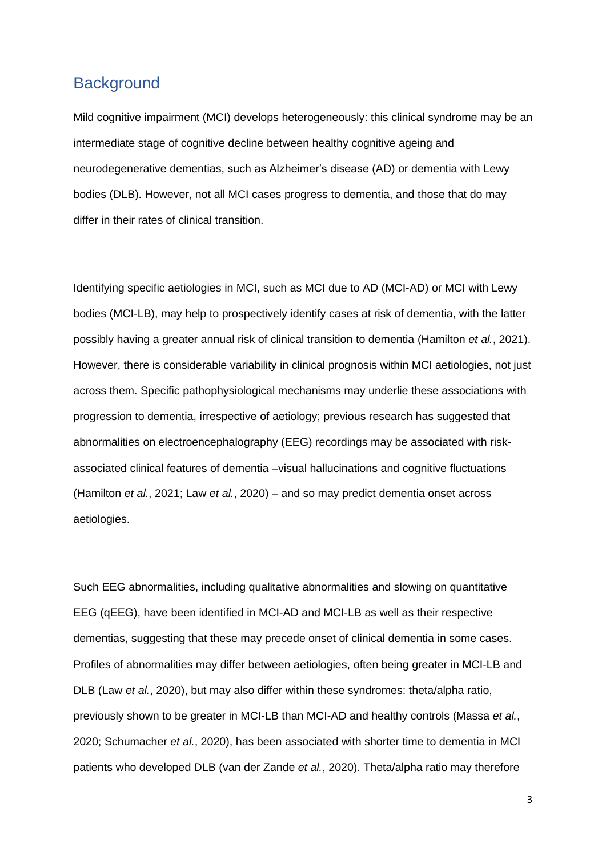## **Background**

Mild cognitive impairment (MCI) develops heterogeneously: this clinical syndrome may be an intermediate stage of cognitive decline between healthy cognitive ageing and neurodegenerative dementias, such as Alzheimer's disease (AD) or dementia with Lewy bodies (DLB). However, not all MCI cases progress to dementia, and those that do may differ in their rates of clinical transition.

Identifying specific aetiologies in MCI, such as MCI due to AD (MCI-AD) or MCI with Lewy bodies (MCI-LB), may help to prospectively identify cases at risk of dementia, with the latter possibly having a greater annual risk of clinical transition to dementia (Hamilton *et al.*, 2021). However, there is considerable variability in clinical prognosis within MCI aetiologies, not just across them. Specific pathophysiological mechanisms may underlie these associations with progression to dementia, irrespective of aetiology; previous research has suggested that abnormalities on electroencephalography (EEG) recordings may be associated with riskassociated clinical features of dementia –visual hallucinations and cognitive fluctuations (Hamilton *et al.*, 2021; Law *et al.*, 2020) – and so may predict dementia onset across aetiologies.

Such EEG abnormalities, including qualitative abnormalities and slowing on quantitative EEG (qEEG), have been identified in MCI-AD and MCI-LB as well as their respective dementias, suggesting that these may precede onset of clinical dementia in some cases. Profiles of abnormalities may differ between aetiologies, often being greater in MCI-LB and DLB (Law *et al.*, 2020), but may also differ within these syndromes: theta/alpha ratio, previously shown to be greater in MCI-LB than MCI-AD and healthy controls (Massa *et al.*, 2020; Schumacher *et al.*, 2020), has been associated with shorter time to dementia in MCI patients who developed DLB (van der Zande *et al.*, 2020). Theta/alpha ratio may therefore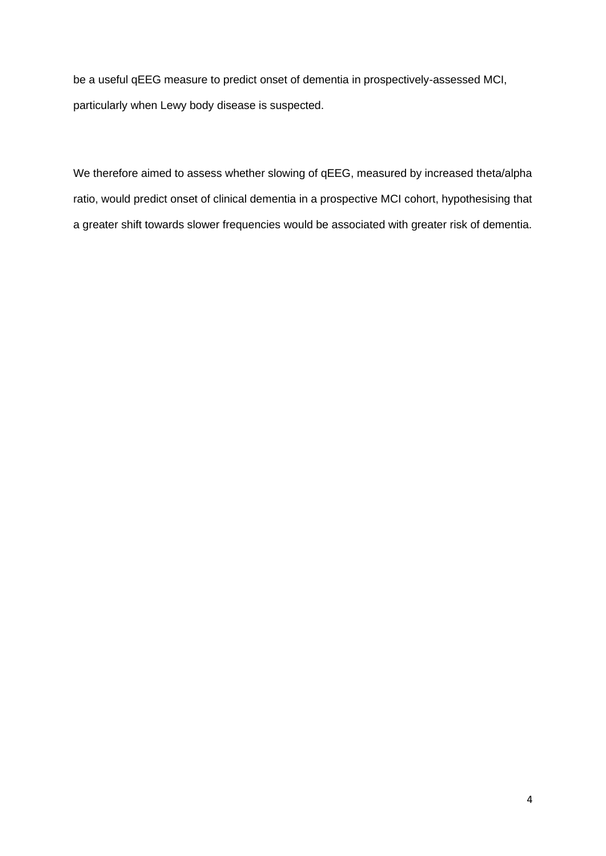be a useful qEEG measure to predict onset of dementia in prospectively-assessed MCI, particularly when Lewy body disease is suspected.

We therefore aimed to assess whether slowing of qEEG, measured by increased theta/alpha ratio, would predict onset of clinical dementia in a prospective MCI cohort, hypothesising that a greater shift towards slower frequencies would be associated with greater risk of dementia.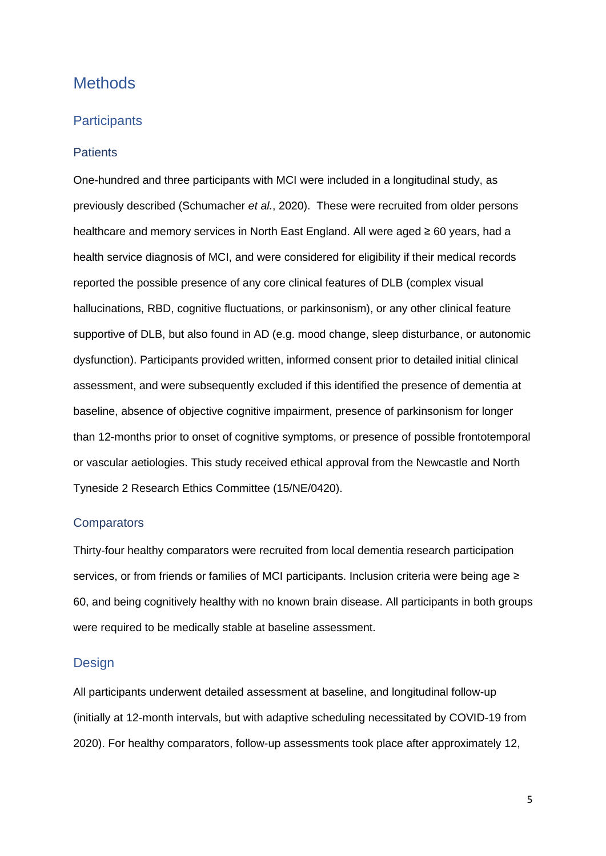## **Methods**

#### **Participants**

#### **Patients**

One-hundred and three participants with MCI were included in a longitudinal study, as previously described (Schumacher *et al.*, 2020). These were recruited from older persons healthcare and memory services in North East England. All were aged ≥ 60 years, had a health service diagnosis of MCI, and were considered for eligibility if their medical records reported the possible presence of any core clinical features of DLB (complex visual hallucinations, RBD, cognitive fluctuations, or parkinsonism), or any other clinical feature supportive of DLB, but also found in AD (e.g. mood change, sleep disturbance, or autonomic dysfunction). Participants provided written, informed consent prior to detailed initial clinical assessment, and were subsequently excluded if this identified the presence of dementia at baseline, absence of objective cognitive impairment, presence of parkinsonism for longer than 12-months prior to onset of cognitive symptoms, or presence of possible frontotemporal or vascular aetiologies. This study received ethical approval from the Newcastle and North Tyneside 2 Research Ethics Committee (15/NE/0420).

#### **Comparators**

Thirty-four healthy comparators were recruited from local dementia research participation services, or from friends or families of MCI participants. Inclusion criteria were being age ≥ 60, and being cognitively healthy with no known brain disease. All participants in both groups were required to be medically stable at baseline assessment.

#### **Design**

All participants underwent detailed assessment at baseline, and longitudinal follow-up (initially at 12-month intervals, but with adaptive scheduling necessitated by COVID-19 from 2020). For healthy comparators, follow-up assessments took place after approximately 12,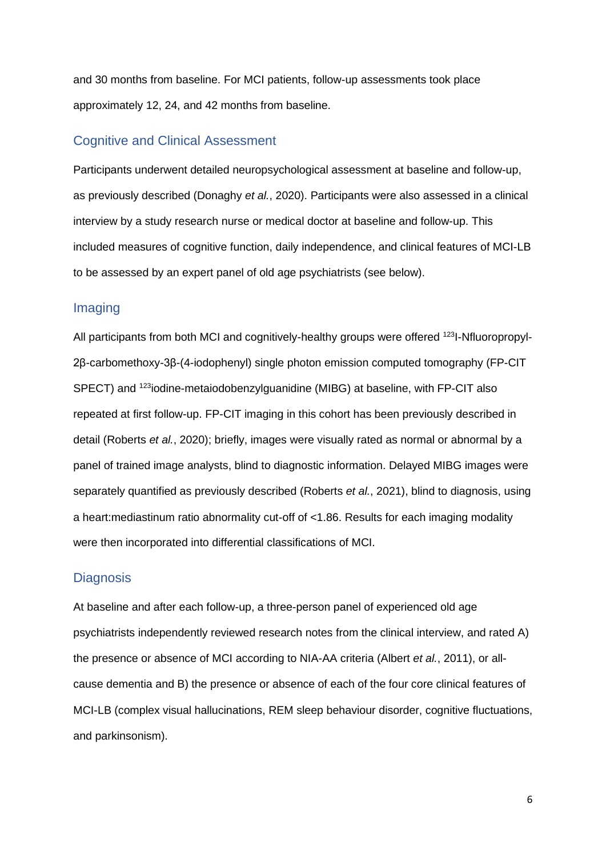and 30 months from baseline. For MCI patients, follow-up assessments took place approximately 12, 24, and 42 months from baseline.

#### Cognitive and Clinical Assessment

Participants underwent detailed neuropsychological assessment at baseline and follow-up, as previously described (Donaghy *et al.*, 2020). Participants were also assessed in a clinical interview by a study research nurse or medical doctor at baseline and follow-up. This included measures of cognitive function, daily independence, and clinical features of MCI-LB to be assessed by an expert panel of old age psychiatrists (see below).

#### Imaging

All participants from both MCI and cognitively-healthy groups were offered <sup>123</sup>I-Nfluoropropyl-2β-carbomethoxy-3β-(4-iodophenyl) single photon emission computed tomography (FP-CIT SPECT) and <sup>123</sup>iodine-metaiodobenzylguanidine (MIBG) at baseline, with FP-CIT also repeated at first follow-up. FP-CIT imaging in this cohort has been previously described in detail (Roberts *et al.*, 2020); briefly, images were visually rated as normal or abnormal by a panel of trained image analysts, blind to diagnostic information. Delayed MIBG images were separately quantified as previously described (Roberts *et al.*, 2021), blind to diagnosis, using a heart:mediastinum ratio abnormality cut-off of <1.86. Results for each imaging modality were then incorporated into differential classifications of MCI.

#### **Diagnosis**

At baseline and after each follow-up, a three-person panel of experienced old age psychiatrists independently reviewed research notes from the clinical interview, and rated A) the presence or absence of MCI according to NIA-AA criteria (Albert *et al.*, 2011), or allcause dementia and B) the presence or absence of each of the four core clinical features of MCI-LB (complex visual hallucinations, REM sleep behaviour disorder, cognitive fluctuations, and parkinsonism).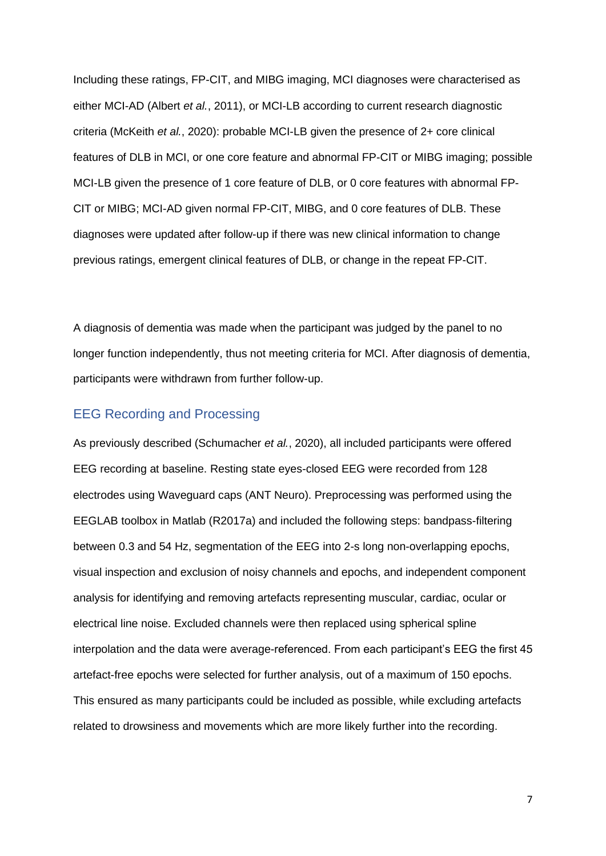Including these ratings, FP-CIT, and MIBG imaging, MCI diagnoses were characterised as either MCI-AD (Albert *et al.*, 2011), or MCI-LB according to current research diagnostic criteria (McKeith *et al.*, 2020): probable MCI-LB given the presence of 2+ core clinical features of DLB in MCI, or one core feature and abnormal FP-CIT or MIBG imaging; possible MCI-LB given the presence of 1 core feature of DLB, or 0 core features with abnormal FP-CIT or MIBG; MCI-AD given normal FP-CIT, MIBG, and 0 core features of DLB. These diagnoses were updated after follow-up if there was new clinical information to change previous ratings, emergent clinical features of DLB, or change in the repeat FP-CIT.

A diagnosis of dementia was made when the participant was judged by the panel to no longer function independently, thus not meeting criteria for MCI. After diagnosis of dementia, participants were withdrawn from further follow-up.

#### EEG Recording and Processing

As previously described (Schumacher *et al.*, 2020), all included participants were offered EEG recording at baseline. Resting state eyes-closed EEG were recorded from 128 electrodes using Waveguard caps (ANT Neuro). Preprocessing was performed using the EEGLAB toolbox in Matlab (R2017a) and included the following steps: bandpass-filtering between 0.3 and 54 Hz, segmentation of the EEG into 2-s long non-overlapping epochs, visual inspection and exclusion of noisy channels and epochs, and independent component analysis for identifying and removing artefacts representing muscular, cardiac, ocular or electrical line noise. Excluded channels were then replaced using spherical spline interpolation and the data were average-referenced. From each participant's EEG the first 45 artefact-free epochs were selected for further analysis, out of a maximum of 150 epochs. This ensured as many participants could be included as possible, while excluding artefacts related to drowsiness and movements which are more likely further into the recording.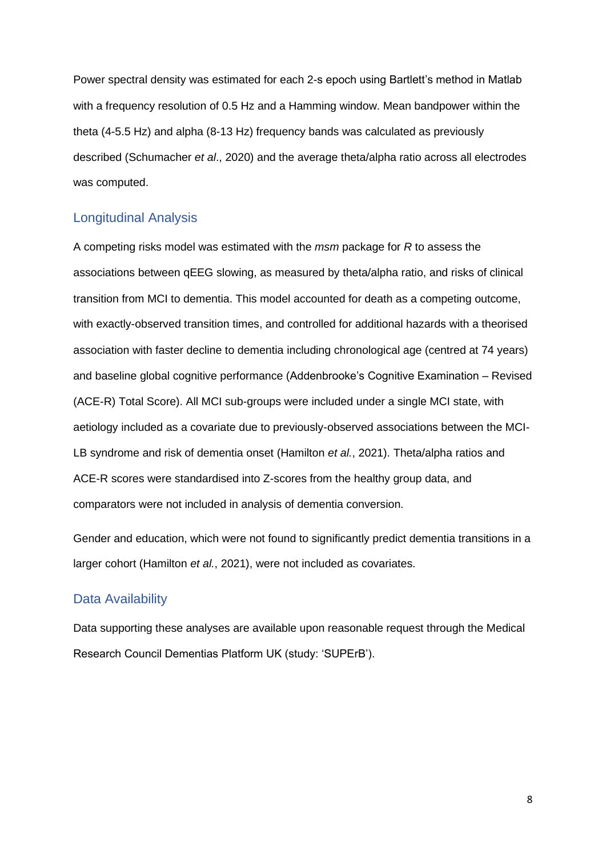Power spectral density was estimated for each 2-s epoch using Bartlett's method in Matlab with a frequency resolution of 0.5 Hz and a Hamming window. Mean bandpower within the theta (4-5.5 Hz) and alpha (8-13 Hz) frequency bands was calculated as previously described (Schumacher *et al*., 2020) and the average theta/alpha ratio across all electrodes was computed.

#### Longitudinal Analysis

A competing risks model was estimated with the *msm* package for *R* to assess the associations between qEEG slowing, as measured by theta/alpha ratio, and risks of clinical transition from MCI to dementia. This model accounted for death as a competing outcome, with exactly-observed transition times, and controlled for additional hazards with a theorised association with faster decline to dementia including chronological age (centred at 74 years) and baseline global cognitive performance (Addenbrooke's Cognitive Examination – Revised (ACE-R) Total Score). All MCI sub-groups were included under a single MCI state, with aetiology included as a covariate due to previously-observed associations between the MCI-LB syndrome and risk of dementia onset (Hamilton *et al.*, 2021). Theta/alpha ratios and ACE-R scores were standardised into Z-scores from the healthy group data, and comparators were not included in analysis of dementia conversion.

Gender and education, which were not found to significantly predict dementia transitions in a larger cohort (Hamilton *et al.*, 2021), were not included as covariates.

#### Data Availability

Data supporting these analyses are available upon reasonable request through the Medical Research Council Dementias Platform UK (study: 'SUPErB').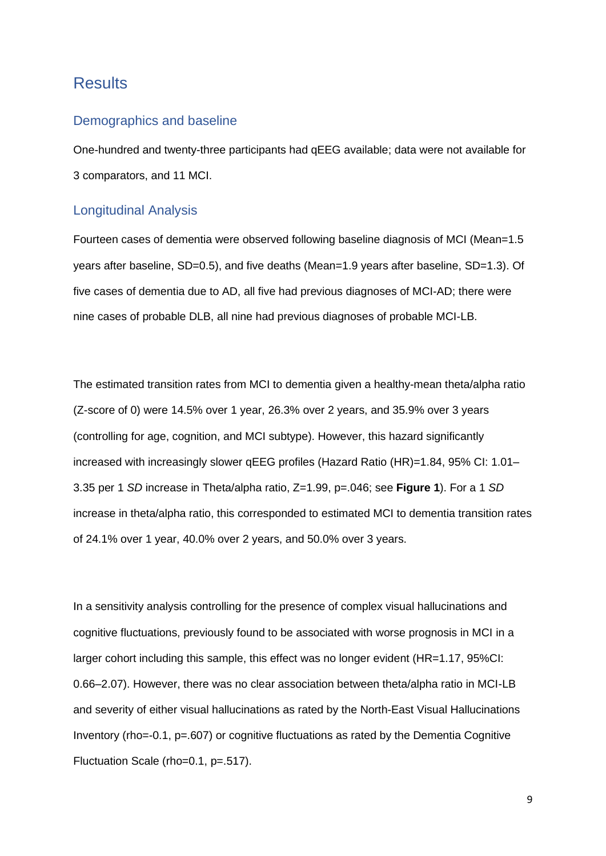## **Results**

#### Demographics and baseline

One-hundred and twenty-three participants had qEEG available; data were not available for 3 comparators, and 11 MCI.

#### Longitudinal Analysis

Fourteen cases of dementia were observed following baseline diagnosis of MCI (Mean=1.5 years after baseline, SD=0.5), and five deaths (Mean=1.9 years after baseline, SD=1.3). Of five cases of dementia due to AD, all five had previous diagnoses of MCI-AD; there were nine cases of probable DLB, all nine had previous diagnoses of probable MCI-LB.

The estimated transition rates from MCI to dementia given a healthy-mean theta/alpha ratio (Z-score of 0) were 14.5% over 1 year, 26.3% over 2 years, and 35.9% over 3 years (controlling for age, cognition, and MCI subtype). However, this hazard significantly increased with increasingly slower qEEG profiles (Hazard Ratio (HR)=1.84, 95% CI: 1.01– 3.35 per 1 *SD* increase in Theta/alpha ratio, Z=1.99, p=.046; see **Figure 1**). For a 1 *SD* increase in theta/alpha ratio, this corresponded to estimated MCI to dementia transition rates of 24.1% over 1 year, 40.0% over 2 years, and 50.0% over 3 years.

In a sensitivity analysis controlling for the presence of complex visual hallucinations and cognitive fluctuations, previously found to be associated with worse prognosis in MCI in a larger cohort including this sample, this effect was no longer evident (HR=1.17, 95%CI: 0.66–2.07). However, there was no clear association between theta/alpha ratio in MCI-LB and severity of either visual hallucinations as rated by the North-East Visual Hallucinations Inventory (rho=-0.1, p=.607) or cognitive fluctuations as rated by the Dementia Cognitive Fluctuation Scale (rho=0.1, p=.517).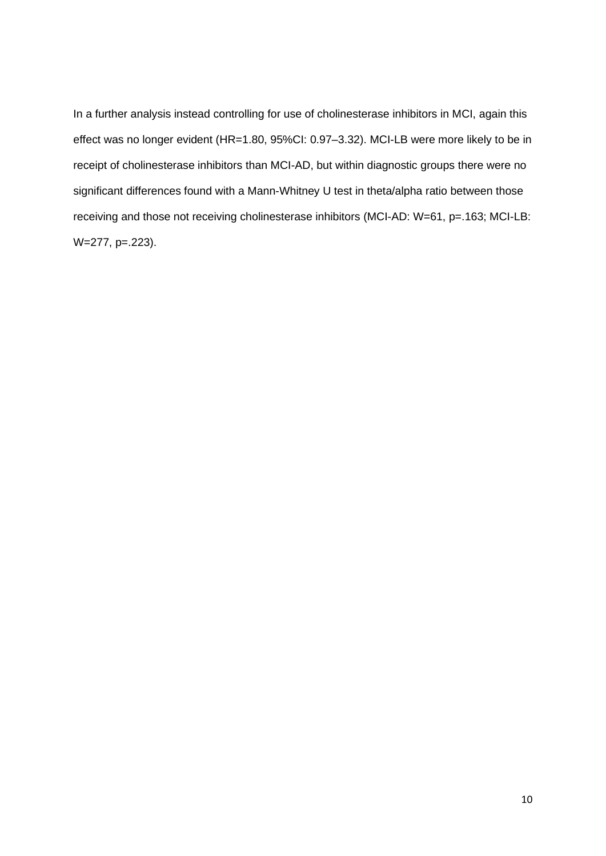In a further analysis instead controlling for use of cholinesterase inhibitors in MCI, again this effect was no longer evident (HR=1.80, 95%CI: 0.97–3.32). MCI-LB were more likely to be in receipt of cholinesterase inhibitors than MCI-AD, but within diagnostic groups there were no significant differences found with a Mann-Whitney U test in theta/alpha ratio between those receiving and those not receiving cholinesterase inhibitors (MCI-AD: W=61, p=.163; MCI-LB: W=277, p=.223).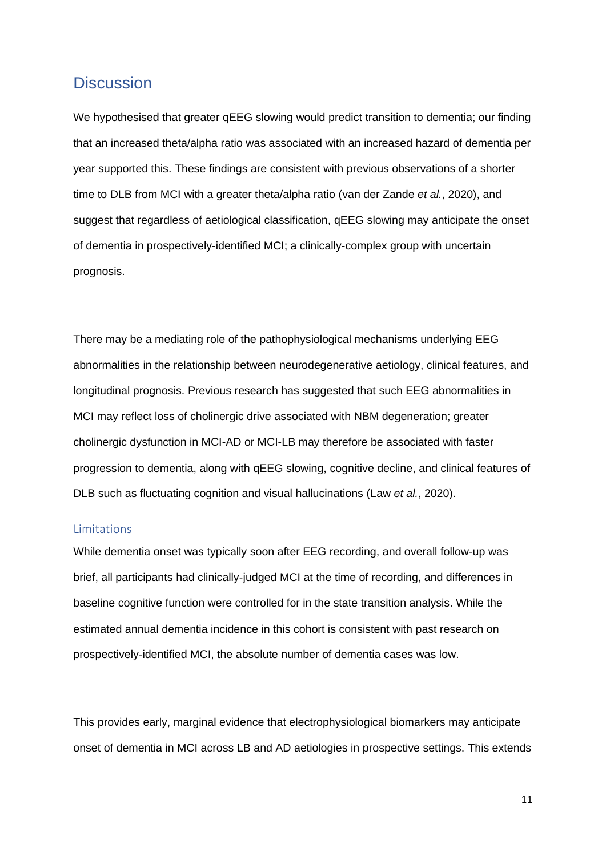### **Discussion**

We hypothesised that greater gEEG slowing would predict transition to dementia; our finding that an increased theta/alpha ratio was associated with an increased hazard of dementia per year supported this. These findings are consistent with previous observations of a shorter time to DLB from MCI with a greater theta/alpha ratio (van der Zande *et al.*, 2020), and suggest that regardless of aetiological classification, qEEG slowing may anticipate the onset of dementia in prospectively-identified MCI; a clinically-complex group with uncertain prognosis.

There may be a mediating role of the pathophysiological mechanisms underlying EEG abnormalities in the relationship between neurodegenerative aetiology, clinical features, and longitudinal prognosis. Previous research has suggested that such EEG abnormalities in MCI may reflect loss of cholinergic drive associated with NBM degeneration; greater cholinergic dysfunction in MCI-AD or MCI-LB may therefore be associated with faster progression to dementia, along with qEEG slowing, cognitive decline, and clinical features of DLB such as fluctuating cognition and visual hallucinations (Law *et al.*, 2020).

#### Limitations

While dementia onset was typically soon after EEG recording, and overall follow-up was brief, all participants had clinically-judged MCI at the time of recording, and differences in baseline cognitive function were controlled for in the state transition analysis. While the estimated annual dementia incidence in this cohort is consistent with past research on prospectively-identified MCI, the absolute number of dementia cases was low.

This provides early, marginal evidence that electrophysiological biomarkers may anticipate onset of dementia in MCI across LB and AD aetiologies in prospective settings. This extends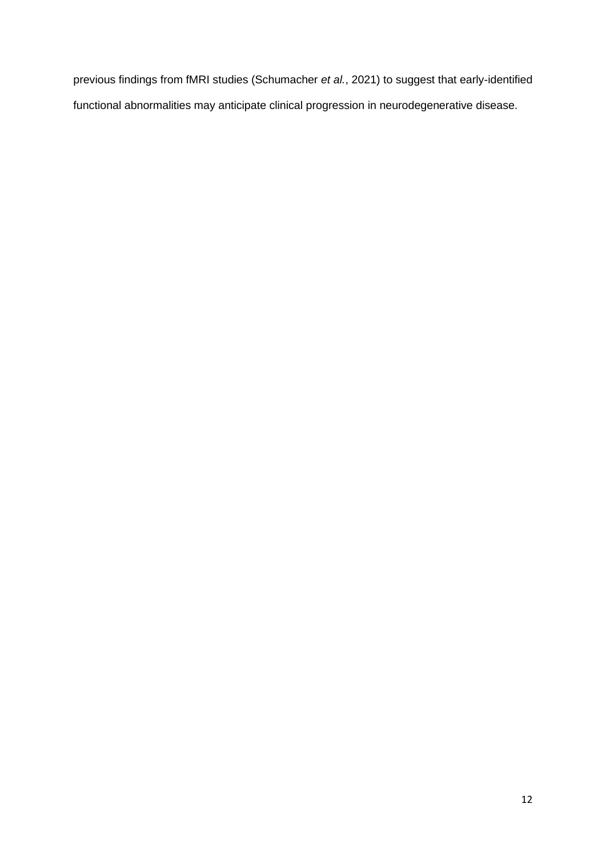previous findings from fMRI studies (Schumacher *et al.*, 2021) to suggest that early-identified functional abnormalities may anticipate clinical progression in neurodegenerative disease.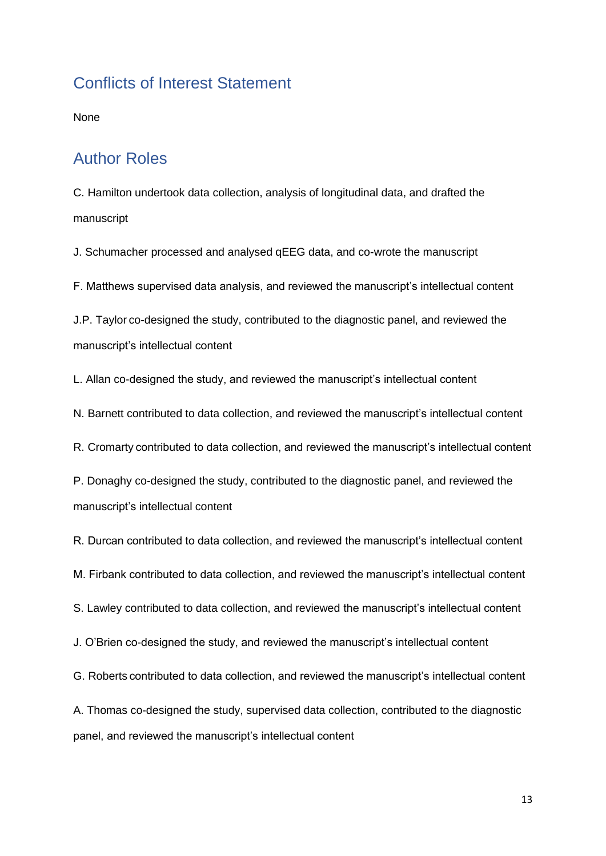## Conflicts of Interest Statement

None

## Author Roles

C. Hamilton undertook data collection, analysis of longitudinal data, and drafted the manuscript

J. Schumacher processed and analysed qEEG data, and co-wrote the manuscript

F. Matthews supervised data analysis, and reviewed the manuscript's intellectual content

J.P. Taylor co-designed the study, contributed to the diagnostic panel, and reviewed the manuscript's intellectual content

L. Allan co-designed the study, and reviewed the manuscript's intellectual content

N. Barnett contributed to data collection, and reviewed the manuscript's intellectual content

R. Cromarty contributed to data collection, and reviewed the manuscript's intellectual content

P. Donaghy co-designed the study, contributed to the diagnostic panel, and reviewed the manuscript's intellectual content

R. Durcan contributed to data collection, and reviewed the manuscript's intellectual content

M. Firbank contributed to data collection, and reviewed the manuscript's intellectual content

S. Lawley contributed to data collection, and reviewed the manuscript's intellectual content

J. O'Brien co-designed the study, and reviewed the manuscript's intellectual content

G. Roberts contributed to data collection, and reviewed the manuscript's intellectual content

A. Thomas co-designed the study, supervised data collection, contributed to the diagnostic panel, and reviewed the manuscript's intellectual content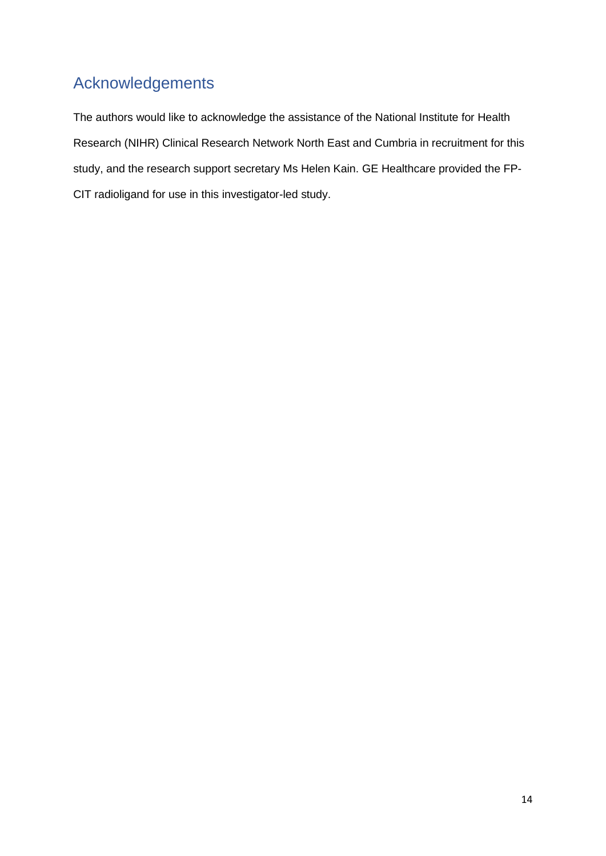## Acknowledgements

The authors would like to acknowledge the assistance of the National Institute for Health Research (NIHR) Clinical Research Network North East and Cumbria in recruitment for this study, and the research support secretary Ms Helen Kain. GE Healthcare provided the FP-CIT radioligand for use in this investigator-led study.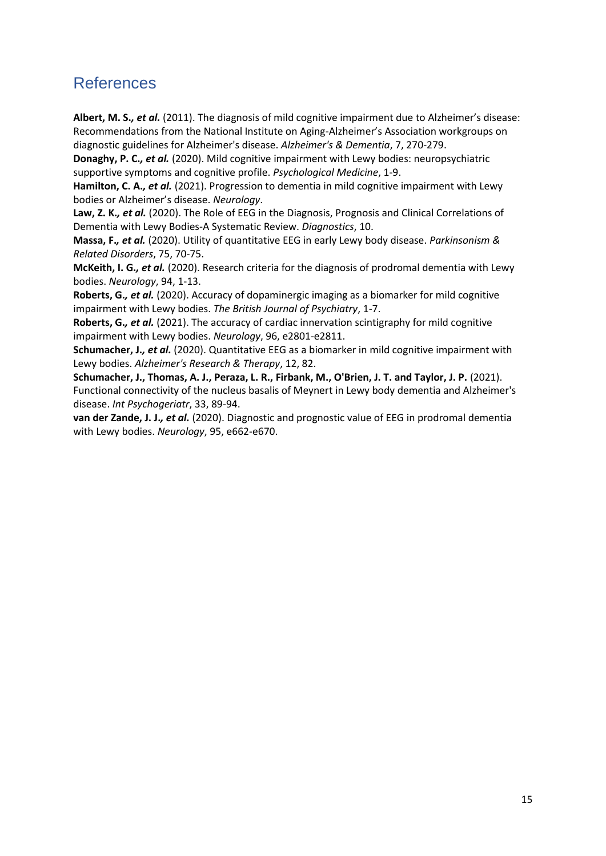## References

**Albert, M. S.***, et al.* (2011). The diagnosis of mild cognitive impairment due to Alzheimer's disease: Recommendations from the National Institute on Aging-Alzheimer's Association workgroups on diagnostic guidelines for Alzheimer's disease. *Alzheimer's & Dementia*, 7, 270-279.

**Donaghy, P. C.***, et al.* (2020). Mild cognitive impairment with Lewy bodies: neuropsychiatric supportive symptoms and cognitive profile. *Psychological Medicine*, 1-9.

**Hamilton, C. A.***, et al.* (2021). Progression to dementia in mild cognitive impairment with Lewy bodies or Alzheimer's disease. *Neurology*.

**Law, Z. K.***, et al.* (2020). The Role of EEG in the Diagnosis, Prognosis and Clinical Correlations of Dementia with Lewy Bodies-A Systematic Review. *Diagnostics*, 10.

**Massa, F.***, et al.* (2020). Utility of quantitative EEG in early Lewy body disease. *Parkinsonism & Related Disorders*, 75, 70-75.

**McKeith, I. G.***, et al.* (2020). Research criteria for the diagnosis of prodromal dementia with Lewy bodies. *Neurology*, 94, 1-13.

**Roberts, G.***, et al.* (2020). Accuracy of dopaminergic imaging as a biomarker for mild cognitive impairment with Lewy bodies. *The British Journal of Psychiatry*, 1-7.

**Roberts, G.***, et al.* (2021). The accuracy of cardiac innervation scintigraphy for mild cognitive impairment with Lewy bodies. *Neurology*, 96, e2801-e2811.

**Schumacher, J.***, et al.* (2020). Quantitative EEG as a biomarker in mild cognitive impairment with Lewy bodies. *Alzheimer's Research & Therapy*, 12, 82.

**Schumacher, J., Thomas, A. J., Peraza, L. R., Firbank, M., O'Brien, J. T. and Taylor, J. P.** (2021). Functional connectivity of the nucleus basalis of Meynert in Lewy body dementia and Alzheimer's disease. *Int Psychogeriatr*, 33, 89-94.

**van der Zande, J. J.***, et al.* (2020). Diagnostic and prognostic value of EEG in prodromal dementia with Lewy bodies. *Neurology*, 95, e662-e670.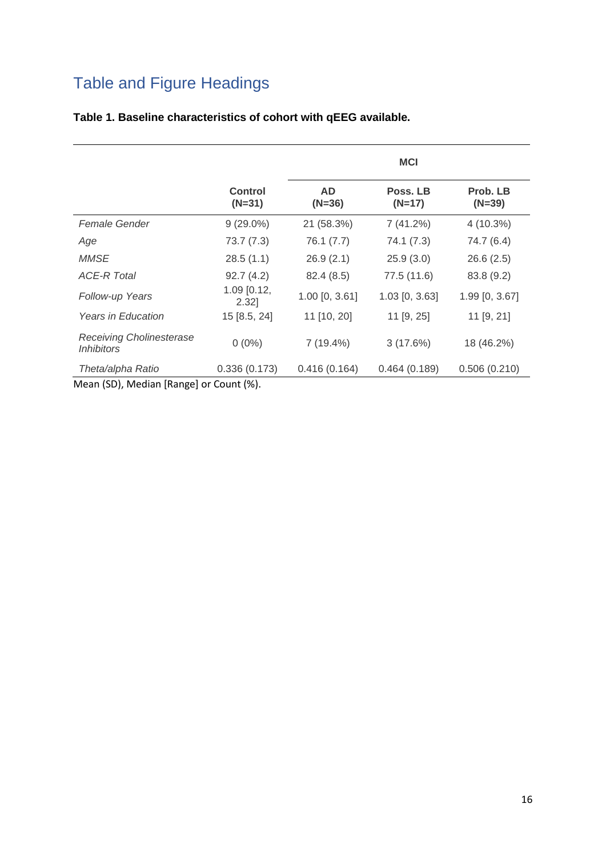## Table and Figure Headings

|                                                      |                            | <b>MCI</b>            |                      |                      |
|------------------------------------------------------|----------------------------|-----------------------|----------------------|----------------------|
|                                                      | <b>Control</b><br>$(N=31)$ | <b>AD</b><br>$(N=36)$ | Poss. LB<br>$(N=17)$ | Prob. LB<br>$(N=39)$ |
| Female Gender                                        | $9(29.0\%)$                | 21 (58.3%)            | 7(41.2%)             | $4(10.3\%)$          |
| Age                                                  | 73.7(7.3)                  | 76.1 (7.7)            | 74.1 (7.3)           | 74.7 (6.4)           |
| <b>MMSE</b>                                          | 28.5(1.1)                  | 26.9(2.1)             | 25.9(3.0)            | 26.6(2.5)            |
| <b>ACE-R Total</b>                                   | 92.7(4.2)                  | 82.4(8.5)             | 77.5 (11.6)          | 83.8 (9.2)           |
| Follow-up Years                                      | $1.09$ [0.12,<br>2.32      | $1.00$ [0, 3.61]      | $1.03$ [0, 3.63]     | 1.99 [0, 3.67]       |
| <b>Years in Education</b>                            | 15 [8.5, 24]               | 11 [10, 20]           | 11 [9, 25]           | $11$ [9, 21]         |
| <b>Receiving Cholinesterase</b><br><i>Inhibitors</i> | $0(0\%)$                   | $7(19.4\%)$           | 3(17.6%)             | 18 (46.2%)           |
| Theta/alpha Ratio                                    | 0.336(0.173)               | 0.416(0.164)          | 0.464(0.189)         | 0.506(0.210)         |

### **Table 1. Baseline characteristics of cohort with qEEG available.**

Mean (SD), Median [Range] or Count (%).